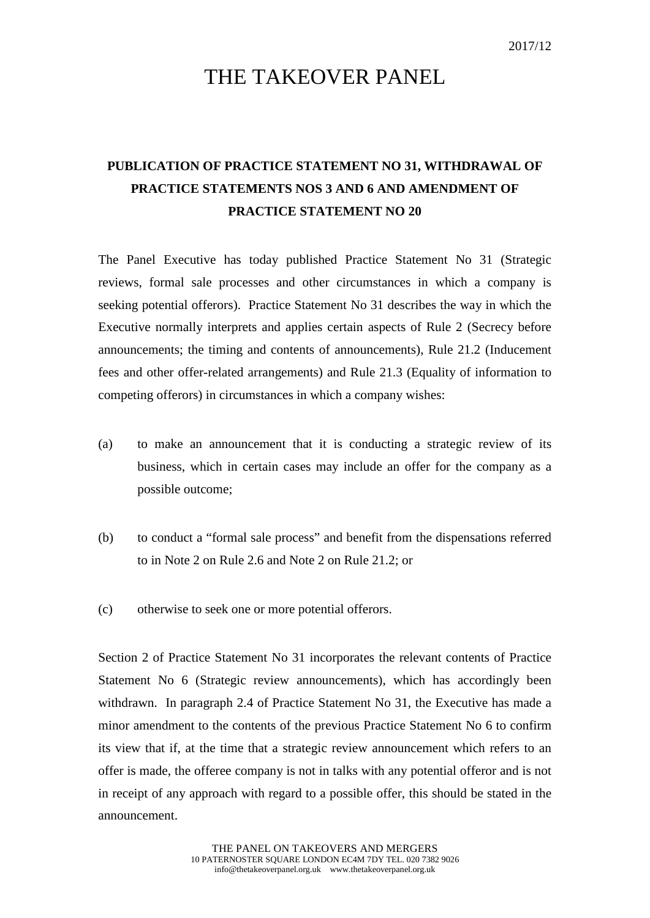## THE TAKEOVER PANEL

## **PUBLICATION OF PRACTICE STATEMENT NO 31, WITHDRAWAL OF PRACTICE STATEMENTS NOS 3 AND 6 AND AMENDMENT OF PRACTICE STATEMENT NO 20**

The Panel Executive has today published Practice Statement No 31 (Strategic reviews, formal sale processes and other circumstances in which a company is seeking potential offerors). Practice Statement No 31 describes the way in which the Executive normally interprets and applies certain aspects of Rule 2 (Secrecy before announcements; the timing and contents of announcements), Rule 21.2 (Inducement fees and other offer-related arrangements) and Rule 21.3 (Equality of information to competing offerors) in circumstances in which a company wishes:

- (a) to make an announcement that it is conducting a strategic review of its business, which in certain cases may include an offer for the company as a possible outcome;
- (b) to conduct a "formal sale process" and benefit from the dispensations referred to in Note 2 on Rule 2.6 and Note 2 on Rule 21.2; or
- (c) otherwise to seek one or more potential offerors.

Section 2 of Practice Statement No 31 incorporates the relevant contents of Practice Statement No 6 (Strategic review announcements), which has accordingly been withdrawn. In paragraph 2.4 of Practice Statement No 31, the Executive has made a minor amendment to the contents of the previous Practice Statement No 6 to confirm its view that if, at the time that a strategic review announcement which refers to an offer is made, the offeree company is not in talks with any potential offeror and is not in receipt of any approach with regard to a possible offer, this should be stated in the announcement.